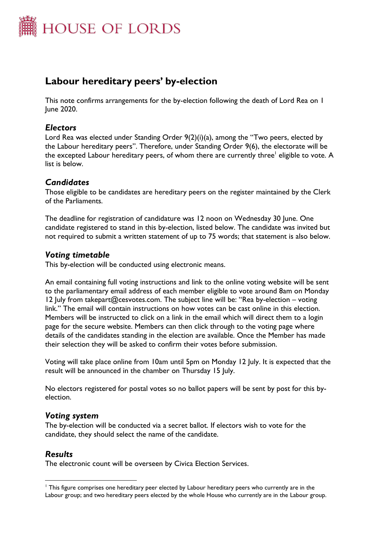

# **Labour hereditary peers' by-election**

This note confirms arrangements for the by-election following the death of Lord Rea on 1 June 2020.

## *Electors*

Lord Rea was elected under Standing Order 9(2)(i)(a), among the "Two peers, elected by the Labour hereditary peers". Therefore, under Standing Order 9(6), the electorate will be the excepted Labour hereditary peers, of whom there are currently three<sup>l</sup> eligible to vote. A list is below.

## *Candidates*

Those eligible to be candidates are hereditary peers on the register maintained by the Clerk of the Parliaments.

The deadline for registration of candidature was 12 noon on Wednesday 30 June. One candidate registered to stand in this by-election, listed below. The candidate was invited but not required to submit a written statement of up to 75 words; that statement is also below.

### *Voting timetable*

This by-election will be conducted using electronic means.

An email containing full voting instructions and link to the online voting website will be sent to the parliamentary email address of each member eligible to vote around 8am on Monday 12 July from takepart@cesvotes.com. The subject line will be: "Rea by-election – voting link." The email will contain instructions on how votes can be cast online in this election. Members will be instructed to click on a link in the email which will direct them to a login page for the secure website. Members can then click through to the voting page where details of the candidates standing in the election are available. Once the Member has made their selection they will be asked to confirm their votes before submission.

Voting will take place online from 10am until 5pm on Monday 12 July. It is expected that the result will be announced in the chamber on Thursday 15 July.

No electors registered for postal votes so no ballot papers will be sent by post for this byelection.

#### *Voting system*

The by-election will be conducted via a secret ballot. If electors wish to vote for the candidate, they should select the name of the candidate.

### *Results*

The electronic count will be overseen by Civica Election Services.

<sup>1</sup> This figure comprises one hereditary peer elected by Labour hereditary peers who currently are in the Labour group; and two hereditary peers elected by the whole House who currently are in the Labour group.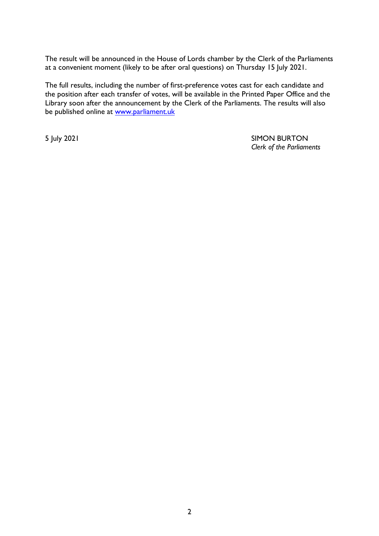The result will be announced in the House of Lords chamber by the Clerk of the Parliaments at a convenient moment (likely to be after oral questions) on Thursday 15 July 2021.

The full results, including the number of first-preference votes cast for each candidate and the position after each transfer of votes, will be available in the Printed Paper Office and the Library soon after the announcement by the Clerk of the Parliaments. The results will also be published online at [www.parliament.uk](http://www.parliament.uk/)

5 July 2021 SIMON BURTON *Clerk of the Parliaments*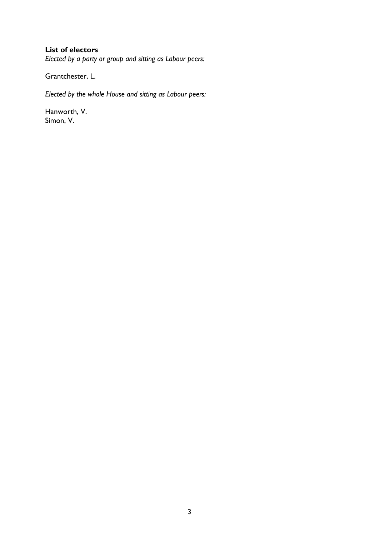### **List of electors**

*Elected by a party or group and sitting as Labour peers:*

Grantchester, L.

*Elected by the whole House and sitting as Labour peers:*

Hanworth, V. Simon, V.